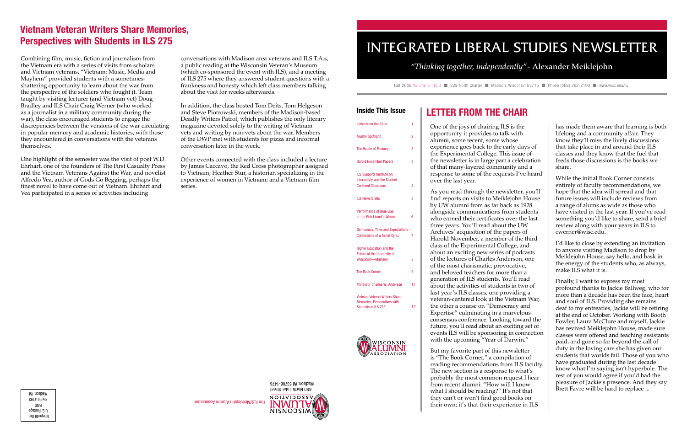One of the joys of chairing ILS is the opportunity it provides to talk with alumni, some recent, some whose experience goes back to the early days of the Experimental College. This issue of the newsletter is in large part a celebration of that many-layered community and a response to some of the requests I've heard

As you read through the newsletter, you'll find reports on visits to Meiklejohn House by UW alumni from as far back as 1928 alongside communications from students who earned their certificates over the last three years. You'll read about the UW Archives' acquisition of the papers of Harold November, a member of the third class of the Experimental College, and about an exciting new series of podcasts of the lectures of Charles Anderson, one of the most charismatic, provocative, and beloved teachers for more than a generation of ILS students. You'll read about the activities of students in two of last year's ILS classes, one providing a veteran-centered look at the Vietnam War, the other a course on "Democracy and Expertise" culminating in a marvelous consensus conference. Looking toward the future, you'll read about an exciting set of events ILS will be sponsoring in connection with the upcoming "Year of Darwin."

over the last year.

Fall 2008 Volume 3, No.3 228 North Charter Madison, Wisconsin 53715 Phone (608) 262-2190 Www.wisc.edu/ils

### Inside This Issue | LETTER FROM THE CHAIR

But my favorite part of this newsletter is "The Book Corner," a compilation of reading recommendations from ILS faculty. The new section is a response to what's probably the most common request I hear from recent alumni: "How will I know what I should be reading?" It's not that they can't or won't find good books on their own; it's that their experience in ILS

has made them aware that learning is both lifelong and a community affair. They know they'll miss the lively discussions that take place in and around their ILS classes and they know that the fuel that feeds those discussions is the books we share.

| Letter from the Chair                                                                   | 1  |
|-----------------------------------------------------------------------------------------|----|
| <b>Alumni Spotlight</b>                                                                 | 2  |
| <b>The House of Memory</b>                                                              | 3  |
| <b>Harold November Papers</b>                                                           | 3  |
| ILS Supports Institute on<br>Interactivty and the Student-<br><b>Centered Classroom</b> | 4  |
| <b>ILS News Breifs</b>                                                                  | 5  |
| Performance of Blue Lias,<br>or the Fish Lizard's Whore                                 | 6  |
| Democracy, Time and Expectations -<br><b>Confessions of a Serial Cynic</b>              | 7  |
| <b>Higher Education and the</b><br>Future of the University of<br>Wisconsin-Madison     | 8  |
| <b>The Book Corner</b>                                                                  | 9  |
| Professor Charles W. Anderson                                                           | 11 |
| Vietnam Veteran Writers Share                                                           |    |

Memories, Perspectives with Students in ILS 275 12



## Madison, WI 53706-1476 650 North Lake Street **NOITAIJO22A INWNTY**

**NISNOJSIM** 

While the initial Book Corner consists entirely of faculty recommendations, we hope that the idea will spread and that future issues will include reviews from a range of alums as wide as those who have visited in the last year. If you've read something you'd like to share, send a brief review along with your years in ILS to cwerner@wisc.edu.

I'd like to close by extending an invitation to anyone visiting Madison to drop by Meiklejohn House, say hello, and bask in the energy of the students who, as always, make ILS what it is.

Finally, I want to express my most profound thanks to Jackie Ballweg, who for more than a decade has been the face, heart and soul of ILS. Providing she remains deaf to my entreaties, Jackie will be retiring at the end of October. Working with Booth Fowler, Laura McClure and myself, Jackie has revived Meiklejohn House, made sure classes were offered and teaching assistants paid, and gone so far beyond the call of duty in the loving care she has given our students that worlds fail. Those of you who have graduated during the last decade know what I'm saying isn't hyperbole. The rest of you would agree if you'd had the pleasure of Jackie's presence. And they say Brett Favre will be hard to replace ...

## INTEGRATED LIBERAL STUDIES NEWSLETTER

### *"Thinking together, independently"* - Alexander Meiklejohn

The ILS/Meiklejohn Alumni Association

Combining film, music, fiction and journalism from the Vietnam era with a series of visits from scholars and Vietnam veterans, "Vietnam: Music, Media and Mayhem" provided students with a sometimesshattering opportunity to learn about the war from the perspective of the soldiers who fought it. Team taught by visiting lecturer (and Vietnam vet) Doug Bradley and ILS Chair Craig Werner (who worked as a journalist in a military community during the war), the class encouraged students to engage the discrepencies between the versions of the war circulating in popular memory and academic histories, with those they encountered in conversations with the veterans themselves.

One highlight of the semester was the visit of poet W.D. Ehrhart, one of the founders of The First Casualty Press and the Vietnam Veterans Against the War, and novelist Alfredo Vea, author of Gods Go Begging, perhaps the finest novel to have come out of Vietnam. Ehrhart and Vea participated in a series of activities including

conversations with Madison area veterans and ILS T.A.s, a public reading at the Wisconsin Veteran's Museum (which co-sponsored the event with ILS), and a meeting of ILS 275 where they answered student questions with a frankness and honesty which left class members talking about the visit for weeks afterwards.

In addition, the class hosted Tom Deits, Tom Helgeson and Steve Piotrowski, members of the Madison-based Deadly Writers Patrol, which publishes the only literary magazine devoted solely to the writing of Vietnam vets and writing by non-vets about the war. Members of the DWP met with students for pizza and informal conversation later in the week.

Other events connected with the class included a lecture by James Caccavo, the Red Cross photographer assigned to Vietnam; Heather Stur, a historian specializing in the experience of women in Vietnam; and a Vietnam film series.

## Vietnam Veteran Writers Share Memories, Perspectives with Students in ILS 275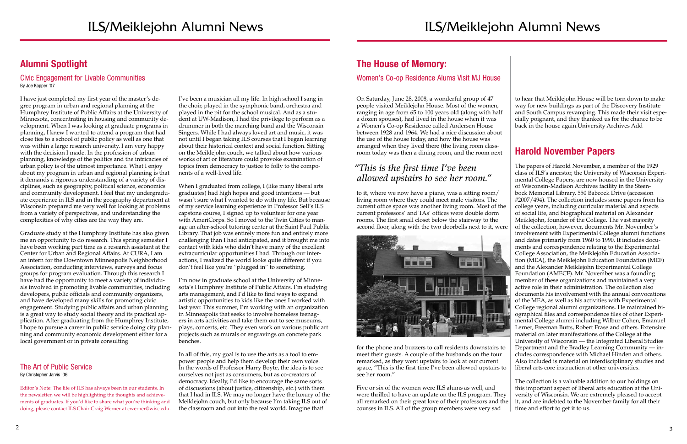3

## Alumni Spotlight

Civic Engagement for Livable Communities By Joe Kapper '07

I have just completed my first year of the master's degree program in urban and regional planning at the Humphrey Institute of Public Affairs at the University of Minnesota, concentrating in housing and community development. When I was looking at graduate programs in planning, I knew I wanted to attend a program that had close ties to a school of public policy as well as one that was within a large research university. I am very happy with the decision I made. In the profession of urban planning, knowledge of the politics and the intricacies of urban policy is of the utmost importance. What I enjoy about my program in urban and regional planning is that it demands a rigorous understanding of a variety of disciplines, such as geography, political science, economics and community development. I feel that my undergraduate experience in ILS and in the geography department at Wisconsin prepared me very well for looking at problems from a variety of perspectives, and understanding the complexities of why cities are the way they are.

Graduate study at the Humphrey Institute has also given me an opportunity to do research. This spring semester I have been working part time as a research assistant at the Center for Urban and Regional Affairs. At CURA, I am an intern for the Downtown Minneapolis Neighborhood Association, conducting interviews, surveys and focus groups for program evaluation. Through this research I have had the opportunity to meet a variety of individuals involved in promoting livable communities, including developers, public officials and community organizers, and have developed many skills for promoting civic engagement. Studying public affairs and urban planning is a great way to study social theory and its practical application. After graduating from the Humphrey Institute, I hope to pursue a career in public service doing city planning and community economic development either for a local government or in private consulting

#### The Art of Public Service By Christopher Jarvis '06

Editor's Note: The life of ILS has always been in our students. In the newsletter, we will be highlighting the thoughts and achievements of graduates. If you'd like to share what you're thinking and doing, please contact ILS Chair Craig Werner at cwerner@wisc.edu.

I've been a musician all my life. In high school I sang in the choir, played in the symphonic band, orchestra and played in the pit for the school musical. And as a student at UW-Madison, I had the privilege to perform as a drummer in both the marching band and the Wisconsin Singers. While I had always loved art and music, it was not until I began taking ILS courses that I began learning about their historical context and social function. Sitting on the Meiklejohn couch, we talked about how various works of art or literature could provoke examination of topics from democracy to justice to folly to the components of a well-lived life.

When I graduated from college, I (like many liberal arts graduates) had high hopes and good intentions — but wasn't sure what I wanted to do with my life. But because of my service learning experience in Professor Sell's ILS capstone course, I signed up to volunteer for one year with AmeriCorps. So I moved to the Twin Cities to manage an after-school tutoring center at the Saint Paul Public Library. That job was entirely more fun and entirely more challenging than I had anticipated, and it brought me into contact with kids who didn't have many of the excellent extracurricular opportunities I had. Through our interactions, I realized the world looks quite different if you don't feel like you're "plugged in" to something.

I'm now in graduate school at the University of Minnesota's Humphrey Institute of Public Affairs. I'm studying arts management, and I'd like to find ways to expand artistic opportunities to kids like the ones I worked with last year. This summer, I'm working with an organization in Minneapolis that seeks to involve homeless teenagers in arts activities and take them out to see museums, plays, concerts, etc. They even work on various public art projects such as murals or engravings on concrete park benches.

In all of this, my goal is to use the arts as a tool to empower people and help them develop their own voice. In the words of Professor Harry Boyte, the idea is to see ourselves not just as consumers, but as co-creators of democracy. Ideally, I'd like to encourage the same sorts of discussions (about justice, citizenship, etc.) with them that I had in ILS. We may no longer have the luxury of the Meiklejohn couch, but only because I'm taking ILS out of the classroom and out into the real world. Imagine that!

## The House of Memory:

### Women's Co-op Residence Alums Visit MJ House

On Saturday, June 28, 2008, a wonderful group of 47 people visited Meiklejohn House. Most of the women, ranging in age from 65 to 100 years old (along with half a dozen spouses), had lived in the house when it was a Women's Co-op Residence called Andersen House between 1928 and 1964. We had a nice discussion about the use of the house today, and how the house was arranged when they lived there (the living room classroom today was then a dining room, and the room next

to it, where we now have a piano, was a sitting room/ living room where they could meet male visitors. The current office space was another living room. Most of the current professors' and TAs' offices were double dorm rooms. The first small closet below the stairway to the second floor, along with the two doorbells next to it, were



for the phone and buzzers to call residents downstairs to meet their guests. A couple of the husbands on the tour remarked, as they went upstairs to look at our current space, "This is the first time I've been allowed upstairs to see her room."

Five or six of the women were ILS alums as well, and were thrilled to have an update on the ILS program. They all remarked on their great love of their professors and the courses in ILS. All of the group members were very sad

to hear that Meiklejohn House will be torn down to make way for new buildings as part of the Discovery Institute and South Campus revamping. This made their visit especially poignant, and they thanked us for the chance to be back in the house again.University Archives Add

### Harold November Papers

The papers of Harold November, a member of the 1929 class of ILS's ancestor, the University of Wisconsin Experimental College Papers, are now housed in the University of Wisconsin-Madison Archives facility in the Steenbock Memorial Library, 550 Babcock Drive (accession #2007/494). The collection includes some papers from his college years, including curricular material and aspects of social life, and biographical material on Alexander Meiklejohn, founder of the College. The vast majority of the collection, however, documents Mr. November's involvement with Experimental College alumni functions and dates primarily from 1960 to 1990. It includes documents and correspondence relating to the Experimental College Association, the Meiklejohn Education Association (MEA), the Meiklejohn Education Foundation (MEF) and the Alexander Meiklejohn Experimental College Foundation (AMECF). Mr. November was a founding member of these organizations and maintained a very active role in their administration. The collection also documents his involvement with the annual convocations of the MEA, as well as his activities with Experimental College regional alumni organizations. He maintained biographical files and correspondence files of other Experimental College alumni including Wilbur Cohen, Emanuel Lerner, Freeman Butts, Robert Frase and others. Extensive material on later manifestations of the College at the University of Wisconsin — the Integrated Liberal Studies Department and the Bradley Learning Community — includes correspondence with Michael Hinden and others. Also included is material on interdisciplinary studies and liberal arts core instruction at other universities.

The collection is a valuable addition to our holdings on this important aspect of liberal arts education at the University of Wisconsin. We are extremely pleased to accept it, and are indebted to the November family for all their time and effort to get it to us.

### *"This is the first time I've been allowed upstairs to see her room."*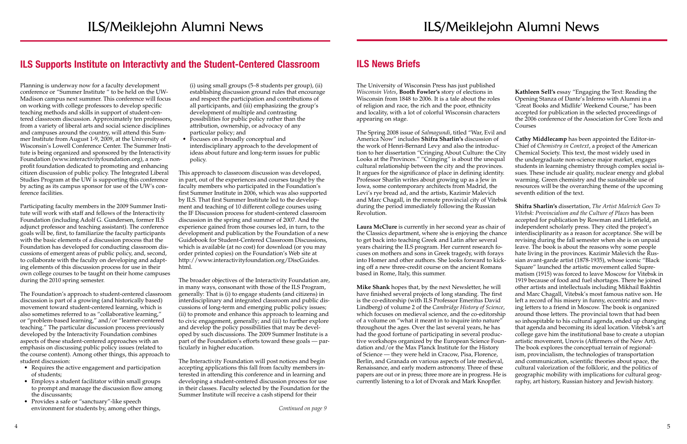## ILS Supports Institute on Interactivty and the Student-Centered Classroom ILS News Briefs

Planning is underway now for a faculty development conference or "Summer Institute " to be held on the UW-Madison campus next summer. This conference will focus on working with college professors to develop specific teaching methods and skills in support of student-centered classroom discussion. Approximately ten professors, from a variety of liberal arts and social science disciplines and campuses around the country, will attend this Summer Institute from August 1-9, 2009, at the University of Wisconsin's Lowell Conference Center. The Summer Institute is being organized and sponsored by the Interactivity Foundation (www.interactivityfoundation.org), a nonprofit foundation dedicated to promoting and enhancing citizen discussion of public policy. The Integrated Liberal Studies Program at the UW is supporting this conference by acting as its campus sponsor for use of the UW's conference facilities.

- Requires the active engagement and participation of students;
- Employs a student facilitator within small groups to prompt and manage the discussion flow among the discussants;
- Provides a safe or "sanctuary"-like speech environment for students by, among other things,

Participating faculty members in the 2009 Summer Institute will work with staff and fellows of the Interactivity Foundation (including Adolf G. Gundersen, former ILS adjunct professor and teaching assistant). The conference goals will be, first, to familiarize the faculty participants with the basic elements of a discussion process that the Foundation has developed for conducting classroom discussions of emergent areas of public policy, and, second, to collaborate with the faculty on developing and adapting elements of this discussion process for use in their own college courses to be taught on their home campuses during the 2010 spring semester.

• Focuses on a broadly conceptual and interdisciplinary approach to the development of ideas about future and long-term issues for public policy.

The Foundation's approach to student-centered classroom discussion is part of a growing (and historically based) movement toward student-centered learning, which is also sometimes referred to as "collaborative learning," or "problem-based learning," and/or "learner-centered teaching." The particular discussion process previously developed by the Interactivity Foundation combines aspects of these student-centered approaches with an emphasis on discussing public policy issues (related to the course content). Among other things, this approach to student discussion:

 (i) using small groups (5–8 students per group), (ii) establishing discussion ground rules that encourage and respect the participation and contributions of all participants, and (iii) emphasizing the group's development of multiple and contrasting possibilities for public policy rather than the attribution, ownership, or advocacy of any particular policy; and

This approach to classroom discussion was developed, in part, out of the experiences and courses taught by the faculty members who participated in the Foundation's first Summer Institute in 2006, which was also supported by ILS. That first Summer Institute led to the development and teaching of 10 different college courses using the IF Discussion process for student-centered classroom discussion in the spring and summer of 2007. And the experience gained from those courses led, in turn, to the development and publication by the Foundation of a new Guidebook for Student-Centered Classroom Discussions, which is available (at no cost) for download (or you may order printed copies) on the Foundation's Web site at http://www.interactivityfoundation.org/DiscGuides. html.

The broader objectives of the Interactivity Foundation are, in many ways, consonant with those of the ILS Program, generally: That is (i) to engage students (and citizens) in interdisciplinary and integrated classroom and public discussions of long-term and emerging public policy issues; (ii) to promote and enhance this approach to learning and to civic engagement, generally; and (iii) to further explore and develop the policy possibilities that may be developed by such discussions. The 2009 Summer Institute is a part of the Foundation's efforts toward these goals — particularly in higher education.

The Interactivity Foundation will post notices and begin accepting applications this fall from faculty members interested in attending this conference and in learning and developing a student-centered discussion process for use in their classes. Faculty selected by the Foundation for the Summer Institute will receive a cash stipend for their

The University of Wisconsin Press has just published *Wisconsin Votes*, **Booth Fowler's** story of elections in Wisconsin from 1848 to 2006. It is a tale about the roles of religion and race, the rich and the poor, ethnicity and locality, with a lot of colorful Wisconsin characters appearing on stage.

The Spring 2008 issue of *Salmagundi*, titled "War, Evil and America Now" includes **Shifra Sharlin's** discussion of the work of Henri-Bernard Levy and also the introduction to her dissertation "Cringing About Culture: the City Looks at the Provinces." "Cringing" is about the unequal cultural relationship between the city and the provinces. It argues for the significance of place in defining identity. Professor Sharlin writes about growing up as a Jew in Iowa, some contemporary architects from Madrid, the Levi's rye bread ad, and the artists, Kazimir Malevich and Marc Chagall, in the remote provincial city of Vitebsk during the period immediately following the Russian **Cathy Middlecamp** has been appointed the Editor-in-Chief of *Chemistry in Context*, a project of the American Chemical Society. This text, the most widely used in the undergraduate non-science major market, engages students in learning chemistry through complex social issues. These include air quality, nuclear energy and global warming. Green chemistry and the sustainable use of resources will be the overarching theme of the upcoming seventh edition of the text. **Shifra Sharlin's** dissertation, *The Artist Malevich Goes To Vitebsk: Provincialism and the Culture of Places* has been

**Kathleen Sell's** essay "Engaging the Text: Reading the Opening Stanza of Dante's Inferno with Alumni in a 'Great Books and Midlife' Weekend Course," has been accepted for publication in the selected proceedings of the 2006 conference of the Association for Core Texts and Courses

Revolution. **Laura McClure** is currently in her second year as chair of the Classics department, where she is enjoying the chance to get back into teaching Greek and Latin after several years chairing the ILS program. Her current research focuses on mothers and sons in Greek tragedy, with forays into Homer and other authors. She looks forward to kicking off a new three-credit course on the ancient Romans based in Rome, Italy, this summer. **Mike Shank** hopes that, by the next Newsletter, he will have finished several projects of long standing. The first is the co-editorship (with ILS Professor Emeritus David Lindberg) of volume 2 of the *Cambridge History of Science*, which focuses on medieval science, and the co-editorship of a volume on "what it meant in to inquire into nature" throughout the ages. Over the last several years, he has had the good fortune of participating in several productive workshops organized by the European Science Foundation and/or the Max Planck Institute for the History of Science — they were held in Cracow, Pisa, Florence, Berlin, and Granada on various aspects of late medieval, Renaissance, and early modern astronomy. Three of these papers are out or in press; three more are in progress. He is accepted for publication by Rowman and Littlefield, an independent scholarly press. They cited the project's interdisciplinarity as a reason for acceptance. She will be revising during the fall semester when she is on unpaid leave. The book is about the reasons why some people hate living in the provinces. Kazimir Malevich the Russian avant-garde artist (1878-1935), whose iconic "Black Square" launched the artistic movement called Suprematism (1915) was forced to leave Moscow for Vitebsk in 1919 because of food and fuel shortages. There he joined other artists and intellectuals including Mikhail Bakhtin and Marc Chagall, Vitebsk's most famous native son. He left a record of his misery in funny, eccentric and moving letters to a friend in Moscow. The book is organized around those letters. The provincial town that had been so inhospitable to his cultural agenda, ended up changing that agenda and becoming its ideal location. Vitebsk's art college gave him the institutional base to create a utopian artistic movement, Unovis (Affirmers of the New Art). The book explores the conceptual terrain of regionalism, provincialism, the technologies of transportation and communication, scientific theories about space, the cultural valorization of the folkloric, and the politics of geographic mobility with implications for cultural geog-

currently listening to a lot of Dvorak and Mark Knopfler. raphy, art history, Russian history and Jewish history.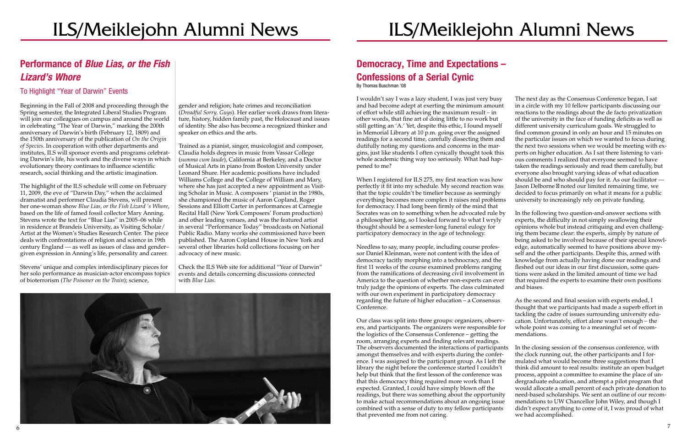## ILS/Meiklejohn Alumni News

## Performance of *Blue Lias, or the Fish Lizard's Whore*

### To Highlight "Year of Darwin" Events

Beginning in the Fall of 2008 and proceeding through the Spring semester, the Integrated Liberal Studies Program will join our colleagues on campus and around the world in celebrating "The Year of Darwin," marking the 200th anniversary of Darwin's birth (February 12, 1809) and the 150th anniversary of the publication of *On the Origin of Species*. In cooperation with other departments and institutes, ILS will sponsor events and programs celebrating Darwin's life, his work and the diverse ways in which evolutionary theory continues to influence scientific research, social thinking and the artistic imagination.

The highlight of the ILS schedule will come on February 11, 2009, the eve of "Darwin Day," when the acclaimed dramatist and performer Claudia Stevens, will present her one-woman show *Blue Lias, or the Fish Lizard 's Whore*, based on the life of famed fossil collector Mary Anning. Stevens wrote the text for "Blue Lias" in 2005–06 while in residence at Brandeis University, as Visiting Scholar/ Artist at the Women's Studies Research Center. The piece deals with confrontations of religion and science in 19th century England — as well as issues of class and gender– given expression in Anning's life, personality and career.

Stevens' unique and complex interdisciplinary pieces for her solo performance as musician-actor encompass topics of bioterrorism (*The Poisoner on the Train*); science,

gender and religion; hate crimes and reconciliation (*Dreadful Sorry, Guys*). Her earlier work draws from literature, history, hidden family past, the Holocaust and issues of identity. She also has become a recognized thinker and speaker on ethics and the arts.

Trained as a pianist, singer, musicologist and composer, Claudia holds degrees in music from Vassar College (*summa cum laude*), California at Berkeley, and a Doctor of Musical Arts in piano from Boston University under Leonard Shure. Her academic positions have included Williams College and the College of William and Mary, where she has just accepted a new appointment as Visiting Scholar in Music. A composers ' pianist in the 1980s, she championed the music of Aaron Copland, Roger Sessions and Elliott Carter in performances at Carnegie Recital Hall (New York Composers' Forum production) and other leading venues, and was the featured artist in several "Performance Today" broadcasts on National Public Radio. Many works she commissioned have been published. The Aaron Copland House in New York and several other libraries hold collections focusing on her advocacy of new music.

Check the ILS Web site for additional "Year of Darwin" events and details concerning discussions connected with *Blue Lias.*



## Democracy, Time and Expectations – Confessions of a Serial Cynic

By Thomas Buschman '08

I wouldn't say I was a lazy student, I was just very busy and had become adept at exerting the minimum amount of effort while still achieving the maximum result – in other words, that fine art of doing little to no work but still getting an 'A.' Yet, despite this ethic, I found myself in Memorial Library at 10 p.m. going over the assigned readings for a second time, carefully dissecting them and dutifully noting my questions and concerns in the margins, just like students I often cynically thought took this whole academic thing way too seriously. What had happened to me?

When I registered for ILS 275, my first reaction was how perfectly it fit into my schedule. My second reaction was that the topic couldn't be timelier because as seemingly everything becomes more complex it raises real problems for democracy. I had long been firmly of the mind that Socrates was on to something when he advocated rule by a philosopher king, so I looked forward to what I wryly thought should be a semester-long funeral eulogy for participatory democracy in the age of technology.

Needless to say, many people, including course professor Daniel Kleinman, were not content with the idea of democracy tacitly morphing into a technocracy, and the first 11 weeks of the course examined problems ranging from the ramifications of decreasing civil involvement in America to the question of whether non-experts can ever truly judge the opinions of experts. The class culminated with our own experiment in participatory democracy regarding the future of higher education – a Consensus Conference.

Our class was split into three groups: organizers, observers, and participants. The organizers were responsible for the logistics of the Consensus Conference – getting the room, arranging experts and finding relevant readings. The observers documented the interactions of participants amongst themselves and with experts during the conference. I was assigned to the participant group. As I left the library the night before the conference started I couldn't help but think that the first lesson of the conference was that this democracy thing required more work than I expected. Granted, I could have simply blown off the readings, but there was something about the opportunity to make actual recommendations about an ongoing issue combined with a sense of duty to my fellow participants that prevented me from not caring.

The next day as the Consensus Conference began, I sat in a circle with my 10 fellow participants discussing our reactions to the readings about the de facto privatization of the university in the face of funding deficits as well as different university curriculum goals. We struggled to find common ground in only an hour and 15 minutes on the particular issues on which we wanted to focus during the next two sessions when we would be meeting with experts on higher education. As I sat there listening to various comments I realized that everyone seemed to have taken the readings seriously and read them carefully, but everyone also brought varying ideas of what education should be and who should pay for it. As our facilitator — Jason Delborne noted our limited remaining time, we decided to focus primarily on what it means for a public university to increasingly rely on private funding.

In the following two question-and-answer sections with experts, the difficulty in not simply swallowing their opinions whole but instead critiquing and even challenging them became clear: the experts, simply by nature of being asked to be involved because of their special knowledge, automatically seemed to have positions above myself and the other participants. Despite this, armed with knowledge from actually having done our readings and fleshed out our ideas in our first discussion, some questions were asked in the limited amount of time we had that required the experts to examine their own positions and biases.

As the second and final session with experts ended, I thought that we participants had made a superb effort in tackling the cadre of issues surrounding university education. Unfortunately, effort alone wasn't enough – the whole point was coming to a meaningful set of recommendations.

In the closing session of the consensus conference, with the clock running out, the other participants and I formulated what would become three suggestions that I think did amount to real results: institute an open budget process, appoint a committee to examine the place of undergraduate education, and attempt a pilot program that would allocate a small percent of each private donation to need-based scholarships. We sent an outline of our recommendations to UW Chancellor John Wiley, and though I didn't expect anything to come of it, I was proud of what we had accomplished.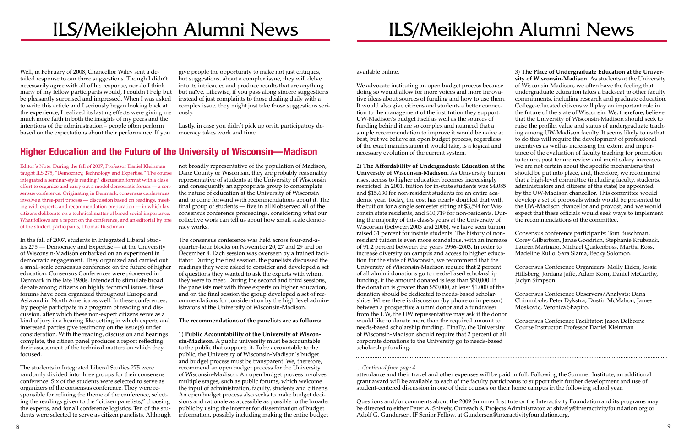## ILS/Meiklejohn Alumni News

# ILS/Meiklejohn Alumni News

Well, in February of 2008, Chancellor Wiley sent a detailed response to our three suggestions. Though I didn't necessarily agree with all of his response, nor do I think many of my fellow participants would, I couldn't help but be pleasantly surprised and impressed. When I was asked to write this article and I seriously began looking back at the experience, I realized its lasting effects were giving me much more faith in both the insights of my peers and the intentions of the administration – people often perform based on the expectations about their performance. If you

give people the opportunity to make not just critiques, but suggestions, about a complex issue, they will delve into its intricacies and produce results that are anything but naïve. Likewise, if you pass along sincere suggestions instead of just complaints to those dealing daily with a complex issue, they might just take those suggestions seriously.

Lastly, in case you didn't pick up on it, participatory democracy takes work and time.

Editor's Note: During the fall of 2007, Professor Daniel Kleinman taught ILS 275, "Democracy, Technology and Expertise." The course integrated a seminar-style reading/ discussion format with a class effort to organize and carry out a model democratic forum — a consensus conference. Originating in Denmark, consensus conferences involve a three-part process — discussion based on readings, meeting with experts, and recommendation preparation — in which lay citizens deliberate on a technical matter of broad social importance. What follows are a report on the conference, and an editorial by one of the student participants, Thomas Buschman.

In the fall of 2007, students in Integrated Liberal Studies 275 — Democracy and Expertise — at the University of Wisconsin-Madison embarked on an experiment in democratic engagement. They organized and carried out a small-scale consensus conference on the future of higher education. Consensus Conferences were pioneered in Denmark in the late 1980s. Intended to stimulate broad debate among citizens on highly technical issues, these forums have been organized throughout Europe and Asia and in North America as well. In these conferences, lay people participate in a program of reading and discussion, after which these non-expert citizens serve as a kind of jury in a hearing-like setting in which experts and interested parties give testimony on the issue(s) under consideration. With the reading, discussion and hearings complete, the citizen panel produces a report reflecting their assessment of the technical matters on which they focused.

The students in Integrated Liberal Studies 275 were randomly divided into three groups for their consensus conference. Six of the students were selected to serve as organizers of the consensus conference. They were responsible for refining the theme of the conference, selecting the readings given to the "citizen panelists," choosing the experts, and for all conference logistics. Ten of the students were selected to serve as citizen panelists. Although

not broadly representative of the population of Madison, Dane County or Wisconsin, they are probably reasonably representative of students at the University of Wisconsin and consequently an appropriate group to contemplate the nature of education at the University of Wisconsin and to come forward with recommendations about it. The final group of students — five in all observed all of the consensus conference proceedings, considering what our collective work can tell us about how small scale democracy works.

The consensus conference was held across four-and-aquarter-hour blocks on November 20, 27 and 29 and on December 4. Each session was overseen by a trained facilitator. During the first session, the panelists discussed the readings they were asked to consider and developed a set of questions they wanted to ask the experts with whom they were to meet. During the second and third sessions, the panelists met with three experts on higher education, and on the final session the group developed a set of recommendations for consideration by the high level administrators at the University of Wisconsin-Madison.

#### **The recommendations of the panelists are as follows:**

1) **Public Accountability of the University of Wisconsin-Madison**. A public university must be accountable to the public that supports it. To be accountable to the public, the University of Wisconsin-Madison's budget and budget process must be transparent. We, therefore, recommend an open budget process for the University of Wisconsin-Madison. An open budget process involves multiple stages, such as public forums, which welcome the input of administration, faculty, students and citizens. An open budget process also seeks to make budget decisions and rationale as accessible as possible to the broader public by using the internet for dissemination of budget information, possibly including making the entire budget

## Higher Education and the Future of the University of Wisconsin—Madison

available online.

We advocate instituting an open budget process because doing so would allow for more voices and more innovative ideas about sources of funding and how to use them. It would also give citizens and students a better connection to the management of the institution they support. UW-Madison's budget itself as well as the sources of funding behind it are so complex and nuanced that a simple recommendation to improve it would be naive at best, but we believe an open budget process, regardless of the exact manifestation it would take, is a logical and necessary evolution of the current system. 2) **The Affordability of Undergraduate Education at the**  3) **The Place of Undergraduate Education at the University of Wisconsin-Madison.** As students at the University of Wisconsin-Madison, we often have the feeling that undergraduate education takes a backseat to other faculty commitments, including research and graduate education. College-educated citizens will play an important role in the future of the state of Wisconsin. We, therefore, believe that the University of Wisconsin-Madison should seek to raise the profile, value and status of undergraduate teaching among UW-Madison faculty. It seems likely to us that to do this will require the development of professional incentives as well as increasing the extent and importance of the evaluation of faculty teaching for promotion to tenure, post-tenure review and merit salary increases. We are not certain about the specific mechanisms that should be put into place, and, therefore, we recommend that a high-level committee (including faculty, students, administrators and citizens of the state) be appointed by the UW-Madison chancellor. This committee would develop a set of proposals which would be presented to the UW-Madison chancellor and provost, and we would expect that these officials would seek ways to implement the recommendations of the committee.

**University of Wisconsin-Madison.** As University tuition rises, access to higher education becomes increasingly restricted. In 2001, tuition for in-state students was \$4,085 and \$15,630 for non-resident students for an entire academic year. Today, the cost has nearly doubled that with the tuition for a single semester sitting at \$3,594 for Wisconsin state residents, and \$10,719 for non-residents. During the majority of this class's years at the University of Wisconsin (between 2003 and 2006), we have seen tuition raised 31 percent for instate students. The history of nonresident tuition is even more scandalous, with an increase of 91.2 percent between the years 1996–2003. In order to increase diversity on campus and access to higher education for the state of Wisconsin, we recommend that the University of Wisconsin-Madison require that 2 percent of all alumni donations go to needs-based scholarship funding, if the amount donated is less than \$50,000. If the donation is greater than \$50,000, at least \$1,000 of the donation should be dedicated to needs-based scholarships. Where there is discussion (by phone or in person) between a prospective alumni donor and a fundraiser from the UW, the UW representative may ask if the donor would like to donate more than the required amount to needs-based scholarship funding. Finally, the University of Wisconsin-Madison should require that 2 percent of all corporate donations to the University go to needs-based scholarship funding. Consensus conference participants: Tom Buschman, Corey Gilbertson, Janae Goodrich, Stephanie Krubsack, Lauren Marinaro, Michael Quakenboss, Martha Ross, Madeline Rullo, Sara Slama, Becky Solomon. Consensus Conference Organizers: Molly Eiden, Jessie Hillsberg, Jordana Jaffe, Adam Korn, Daniel McCarthy, Jaclyn Simpson. Consensus Conference Observers/Analysts: Dana Chirumbole, Peter Dykstra, Dustin McMahon, James Moskovic, Veronica Shapiro. Consensus Conference Facilitator: Jason Delborne Course Instructor: Professor Daniel Kleinman

Questions and/or comments about the 2009 Summer Institute or the Interactivity Foundation and its programs may be directed to either Peter A. Shively, Outreach & Projects Administrator, at shively@interactivityfoundation.org or

*<sup>...</sup> Continued from page 4*

attendance and their travel and other expenses will be paid in full. Following the Summer Institute, an additional grant award will be available to each of the faculty participants to support their further development and use of student-centered discussion in one of their courses on their home campus in the following school year.

Adolf G. Gundersen, IF Senior Fellow, at Gundersen@interactivityfoundation.org.